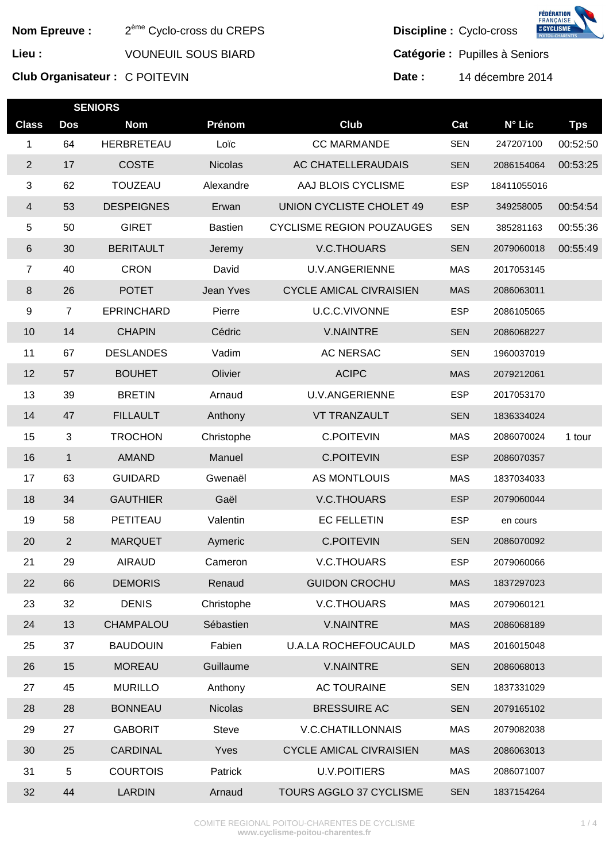| <b>Nom Epreuve:</b> |                | 2 <sup>ème</sup> Cyclo-cross du CREPS |                |                                  | г пинуитоц<br><b>E CYCLISME</b><br>Discipline : Cyclo-cross |                  |            |
|---------------------|----------------|---------------------------------------|----------------|----------------------------------|-------------------------------------------------------------|------------------|------------|
| Lieu :              |                | <b>VOUNEUIL SOUS BIARD</b>            |                |                                  | Catégorie : Pupilles à Seniors                              |                  |            |
|                     |                | Club Organisateur: C POITEVIN         |                | Date:                            |                                                             | 14 décembre 2014 |            |
|                     |                | <b>SENIORS</b>                        |                |                                  |                                                             |                  |            |
| <b>Class</b>        | <b>Dos</b>     | <b>Nom</b>                            | Prénom         | <b>Club</b>                      | Cat                                                         | N° Lic           | <b>Tps</b> |
| 1                   | 64             | HERBRETEAU                            | Loïc           | <b>CC MARMANDE</b>               | <b>SEN</b>                                                  | 247207100        | 00:52:50   |
| $\sqrt{2}$          | 17             | <b>COSTE</b>                          | <b>Nicolas</b> | AC CHATELLERAUDAIS               | <b>SEN</b>                                                  | 2086154064       | 00:53:25   |
| 3                   | 62             | <b>TOUZEAU</b>                        | Alexandre      | AAJ BLOIS CYCLISME               | <b>ESP</b>                                                  | 18411055016      |            |
| 4                   | 53             | <b>DESPEIGNES</b>                     | Erwan          | UNION CYCLISTE CHOLET 49         | <b>ESP</b>                                                  | 349258005        | 00:54:54   |
| 5                   | 50             | <b>GIRET</b>                          | <b>Bastien</b> | <b>CYCLISME REGION POUZAUGES</b> | <b>SEN</b>                                                  | 385281163        | 00:55:36   |
| 6                   | 30             | <b>BERITAULT</b>                      | Jeremy         | V.C.THOUARS                      | <b>SEN</b>                                                  | 2079060018       | 00:55:49   |
| $\overline{7}$      | 40             | <b>CRON</b>                           | David          | <b>U.V.ANGERIENNE</b>            | <b>MAS</b>                                                  | 2017053145       |            |
| 8                   | 26             | <b>POTET</b>                          | Jean Yves      | <b>CYCLE AMICAL CIVRAISIEN</b>   | <b>MAS</b>                                                  | 2086063011       |            |
| 9                   | 7              | <b>EPRINCHARD</b>                     | Pierre         | U.C.C.VIVONNE                    | <b>ESP</b>                                                  | 2086105065       |            |
| 10                  | 14             | <b>CHAPIN</b>                         | Cédric         | <b>V.NAINTRE</b>                 | <b>SEN</b>                                                  | 2086068227       |            |
| 11                  | 67             | <b>DESLANDES</b>                      | Vadim          | <b>AC NERSAC</b>                 | <b>SEN</b>                                                  | 1960037019       |            |
| 12                  | 57             | <b>BOUHET</b>                         | Olivier        | <b>ACIPC</b>                     | <b>MAS</b>                                                  | 2079212061       |            |
| 13                  | 39             | <b>BRETIN</b>                         | Arnaud         | <b>U.V.ANGERIENNE</b>            | <b>ESP</b>                                                  | 2017053170       |            |
| 14                  | 47             | <b>FILLAULT</b>                       | Anthony        | <b>VT TRANZAULT</b>              | <b>SEN</b>                                                  | 1836334024       |            |
| 15                  | 3              | <b>TROCHON</b>                        | Christophe     | <b>C.POITEVIN</b>                | <b>MAS</b>                                                  | 2086070024       | 1 tour     |
| 16                  | $\mathbf{1}$   | <b>AMAND</b>                          | Manuel         | <b>C.POITEVIN</b>                | <b>ESP</b>                                                  | 2086070357       |            |
| 17                  | 63             | <b>GUIDARD</b>                        | Gwenaël        | AS MONTLOUIS                     | <b>MAS</b>                                                  | 1837034033       |            |
| 18                  | 34             | <b>GAUTHIER</b>                       | Gaël           | V.C.THOUARS                      | <b>ESP</b>                                                  | 2079060044       |            |
| 19                  | 58             | PETITEAU                              | Valentin       | <b>EC FELLETIN</b>               | <b>ESP</b>                                                  | en cours         |            |
| 20                  | $\overline{2}$ | <b>MARQUET</b>                        | Aymeric        | <b>C.POITEVIN</b>                | <b>SEN</b>                                                  | 2086070092       |            |
| 21                  | 29             | <b>AIRAUD</b>                         | Cameron        | V.C.THOUARS                      | <b>ESP</b>                                                  | 2079060066       |            |
| 22                  | 66             | <b>DEMORIS</b>                        | Renaud         | <b>GUIDON CROCHU</b>             | <b>MAS</b>                                                  | 1837297023       |            |
| 23                  | 32             | <b>DENIS</b>                          | Christophe     | <b>V.C.THOUARS</b>               | <b>MAS</b>                                                  | 2079060121       |            |
| 24                  | 13             | CHAMPALOU                             | Sébastien      | <b>V.NAINTRE</b>                 | <b>MAS</b>                                                  | 2086068189       |            |
| 25                  | 37             | <b>BAUDOUIN</b>                       | Fabien         | <b>U.A.LA ROCHEFOUCAULD</b>      | <b>MAS</b>                                                  | 2016015048       |            |
| 26                  | 15             | <b>MOREAU</b>                         | Guillaume      | <b>V.NAINTRE</b>                 | <b>SEN</b>                                                  | 2086068013       |            |
| 27                  | 45             | <b>MURILLO</b>                        | Anthony        | <b>AC TOURAINE</b>               | <b>SEN</b>                                                  | 1837331029       |            |
| 28                  | 28             | <b>BONNEAU</b>                        | <b>Nicolas</b> | <b>BRESSUIRE AC</b>              | <b>SEN</b>                                                  | 2079165102       |            |
| 29                  | 27             | <b>GABORIT</b>                        | <b>Steve</b>   | V.C.CHATILLONNAIS                | <b>MAS</b>                                                  | 2079082038       |            |
| 30                  | 25             | <b>CARDINAL</b>                       | Yves           | <b>CYCLE AMICAL CIVRAISIEN</b>   | <b>MAS</b>                                                  | 2086063013       |            |
| 31                  | 5              | <b>COURTOIS</b>                       | Patrick        | <b>U.V.POITIERS</b>              | <b>MAS</b>                                                  | 2086071007       |            |
| 32                  | 44             | <b>LARDIN</b>                         | Arnaud         | TOURS AGGLO 37 CYCLISME          | <b>SEN</b>                                                  | 1837154264       |            |

**FÉDÉRATION<br>FRANÇAISE<br>ECYCLISME**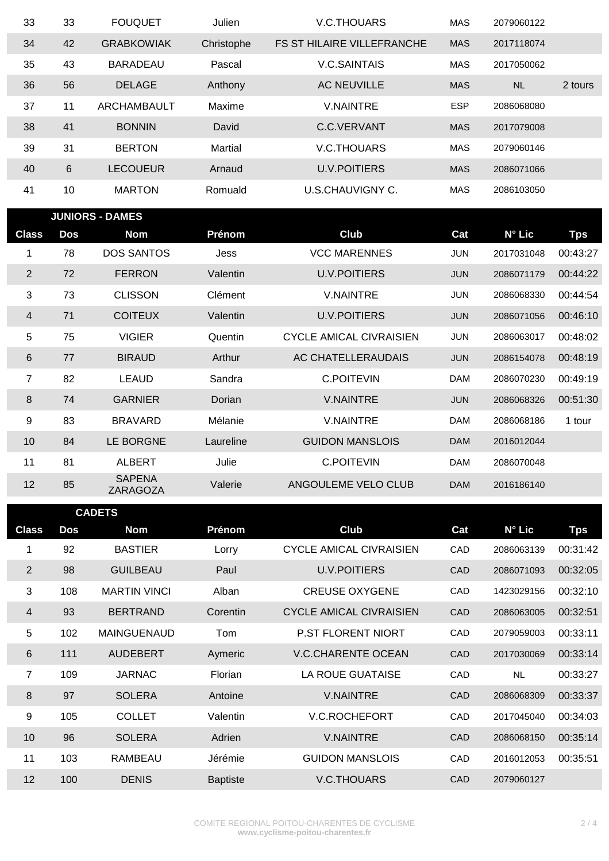| 33 | 33 | <b>FOUQUET</b>     | Julien         | V.C.THOUARS                       | <b>MAS</b> | 2079060122 |         |
|----|----|--------------------|----------------|-----------------------------------|------------|------------|---------|
| 34 | 42 | <b>GRABKOWIAK</b>  | Christophe     | <b>FS ST HILAIRE VILLEFRANCHE</b> | <b>MAS</b> | 2017118074 |         |
| 35 | 43 | <b>BARADEAU</b>    | Pascal         | <b>V.C.SAINTAIS</b>               | <b>MAS</b> | 2017050062 |         |
| 36 | 56 | <b>DELAGE</b>      | Anthony        | <b>AC NEUVILLE</b>                | <b>MAS</b> | <b>NL</b>  | 2 tours |
| 37 | 11 | <b>ARCHAMBAULT</b> | Maxime         | <b>V.NAINTRE</b>                  | <b>ESP</b> | 2086068080 |         |
| 38 | 41 | <b>BONNIN</b>      | David          | C.C.VERVANT                       | <b>MAS</b> | 2017079008 |         |
| 39 | 31 | <b>BERTON</b>      | <b>Martial</b> | <b>V.C.THOUARS</b>                | <b>MAS</b> | 2079060146 |         |
| 40 | 6  | <b>LECOUEUR</b>    | Arnaud         | <b>U.V.POITIERS</b>               | <b>MAS</b> | 2086071066 |         |
| 41 | 10 | <b>MARTON</b>      | Romuald        | U.S.CHAUVIGNY C.                  | <b>MAS</b> | 2086103050 |         |

г

|                | <b>JUNIORS - DAMES</b> |                                  |           |                         |            |                 |            |
|----------------|------------------------|----------------------------------|-----------|-------------------------|------------|-----------------|------------|
| <b>Class</b>   | <b>Dos</b>             | Nom                              | Prénom    | Club                    | Cat        | $N^{\circ}$ Lic | <b>Tps</b> |
| 1              | 78                     | <b>DOS SANTOS</b>                | Jess      | <b>VCC MARENNES</b>     | <b>JUN</b> | 2017031048      | 00:43:27   |
| $\overline{2}$ | 72                     | <b>FERRON</b>                    | Valentin  | <b>U.V.POITIERS</b>     | <b>JUN</b> | 2086071179      | 00:44:22   |
| 3              | 73                     | <b>CLISSON</b>                   | Clément   | <b>V.NAINTRE</b>        | <b>JUN</b> | 2086068330      | 00:44:54   |
| $\overline{4}$ | 71                     | <b>COITEUX</b>                   | Valentin  | <b>U.V.POITIERS</b>     | <b>JUN</b> | 2086071056      | 00:46:10   |
| 5              | 75                     | <b>VIGIER</b>                    | Quentin   | CYCLE AMICAL CIVRAISIEN | <b>JUN</b> | 2086063017      | 00:48:02   |
| $6\,$          | 77                     | <b>BIRAUD</b>                    | Arthur    | AC CHATELLERAUDAIS      | <b>JUN</b> | 2086154078      | 00:48:19   |
| 7              | 82                     | <b>LEAUD</b>                     | Sandra    | <b>C.POITEVIN</b>       | <b>DAM</b> | 2086070230      | 00:49:19   |
| $\,8\,$        | 74                     | <b>GARNIER</b>                   | Dorian    | <b>V.NAINTRE</b>        | <b>JUN</b> | 2086068326      | 00:51:30   |
| 9              | 83                     | <b>BRAVARD</b>                   | Mélanie   | <b>V.NAINTRE</b>        | <b>DAM</b> | 2086068186      | 1 tour     |
| 10             | 84                     | LE BORGNE                        | Laureline | <b>GUIDON MANSLOIS</b>  | <b>DAM</b> | 2016012044      |            |
| 11             | 81                     | <b>ALBERT</b>                    | Julie     | <b>C.POITEVIN</b>       | <b>DAM</b> | 2086070048      |            |
| 12             | 85                     | <b>SAPENA</b><br><b>ZARAGOZA</b> | Valerie   | ANGOULEME VELO CLUB     | <b>DAM</b> | 2016186140      |            |

| <b>CADETS</b>  |     |                     |                 |                                |            |                 |            |
|----------------|-----|---------------------|-----------------|--------------------------------|------------|-----------------|------------|
| <b>Class</b>   | Dos | <b>Nom</b>          | Prénom          | <b>Club</b>                    | Cat        | $N^{\circ}$ Lic | <b>Tps</b> |
| 1              | 92  | <b>BASTIER</b>      | Lorry           | <b>CYCLE AMICAL CIVRAISIEN</b> | CAD        | 2086063139      | 00:31:42   |
| $\overline{2}$ | 98  | <b>GUILBEAU</b>     | Paul            | <b>U.V.POITIERS</b>            | <b>CAD</b> | 2086071093      | 00:32:05   |
| 3              | 108 | <b>MARTIN VINCI</b> | Alban           | <b>CREUSE OXYGENE</b>          | CAD        | 1423029156      | 00:32:10   |
| 4              | 93  | <b>BERTRAND</b>     | Corentin        | <b>CYCLE AMICAL CIVRAISIEN</b> | CAD        | 2086063005      | 00:32:51   |
| 5              | 102 | <b>MAINGUENAUD</b>  | Tom             | <b>P.ST FLORENT NIORT</b>      | CAD        | 2079059003      | 00:33:11   |
| 6              | 111 | <b>AUDEBERT</b>     | Aymeric         | <b>V.C.CHARENTE OCEAN</b>      | CAD        | 2017030069      | 00:33:14   |
| $\overline{7}$ | 109 | <b>JARNAC</b>       | Florian         | <b>LA ROUE GUATAISE</b>        | CAD        | <b>NL</b>       | 00:33:27   |
| 8              | 97  | <b>SOLERA</b>       | Antoine         | <b>V.NAINTRE</b>               | CAD        | 2086068309      | 00:33:37   |
| 9              | 105 | <b>COLLET</b>       | Valentin        | <b>V.C.ROCHEFORT</b>           | <b>CAD</b> | 2017045040      | 00:34:03   |
| 10             | 96  | <b>SOLERA</b>       | Adrien          | <b>V.NAINTRE</b>               | CAD        | 2086068150      | 00:35:14   |
| 11             | 103 | <b>RAMBEAU</b>      | Jérémie         | <b>GUIDON MANSLOIS</b>         | CAD        | 2016012053      | 00:35:51   |
| 12             | 100 | <b>DENIS</b>        | <b>Baptiste</b> | <b>V.C.THOUARS</b>             | CAD        | 2079060127      |            |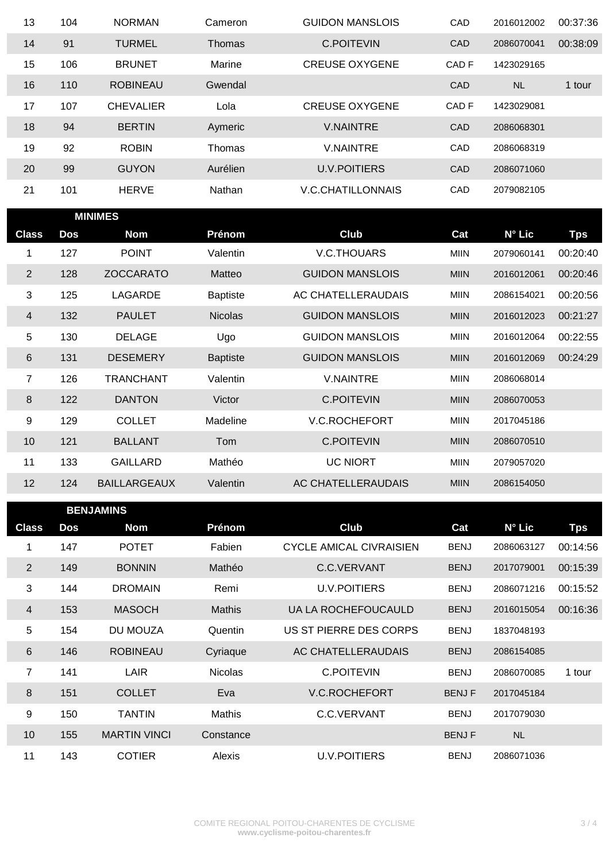| 13 | 104 | <b>NORMAN</b>    | Cameron  | <b>GUIDON MANSLOIS</b>   | CAD        | 2016012002 | 00:37:36 |
|----|-----|------------------|----------|--------------------------|------------|------------|----------|
| 14 | 91  | <b>TURMEL</b>    | Thomas   | <b>C.POITEVIN</b>        | CAD        | 2086070041 | 00:38:09 |
| 15 | 106 | <b>BRUNET</b>    | Marine   | <b>CREUSE OXYGENE</b>    | CAD F      | 1423029165 |          |
| 16 | 110 | <b>ROBINEAU</b>  | Gwendal  |                          | <b>CAD</b> | <b>NL</b>  | 1 tour   |
| 17 | 107 | <b>CHEVALIER</b> | Lola     | <b>CREUSE OXYGENE</b>    | CAD F      | 1423029081 |          |
| 18 | 94  | <b>BERTIN</b>    | Aymeric  | <b>V.NAINTRE</b>         | <b>CAD</b> | 2086068301 |          |
| 19 | 92  | <b>ROBIN</b>     | Thomas   | <b>V.NAINTRE</b>         | CAD        | 2086068319 |          |
| 20 | 99  | <b>GUYON</b>     | Aurélien | <b>U.V.POITIERS</b>      | <b>CAD</b> | 2086071060 |          |
| 21 | 101 | <b>HERVE</b>     | Nathan   | <b>V.C.CHATILLONNAIS</b> | <b>CAD</b> | 2079082105 |          |

г

| <b>MINIMES</b>          |     |                     |                 |                        |             |                 |            |
|-------------------------|-----|---------------------|-----------------|------------------------|-------------|-----------------|------------|
| <b>Class</b>            | Dos | <b>Nom</b>          | Prénom          | <b>Club</b>            | Cat         | $N^{\circ}$ Lic | <b>Tps</b> |
| 1                       | 127 | <b>POINT</b>        | Valentin        | <b>V.C.THOUARS</b>     | <b>MIIN</b> | 2079060141      | 00:20:40   |
| $\overline{2}$          | 128 | <b>ZOCCARATO</b>    | Matteo          | <b>GUIDON MANSLOIS</b> | <b>MIIN</b> | 2016012061      | 00:20:46   |
| 3                       | 125 | LAGARDE             | <b>Baptiste</b> | AC CHATELLERAUDAIS     | <b>MIIN</b> | 2086154021      | 00:20:56   |
| $\overline{\mathbf{4}}$ | 132 | <b>PAULET</b>       | <b>Nicolas</b>  | <b>GUIDON MANSLOIS</b> | <b>MIIN</b> | 2016012023      | 00:21:27   |
| 5                       | 130 | <b>DELAGE</b>       | Ugo             | <b>GUIDON MANSLOIS</b> | <b>MIIN</b> | 2016012064      | 00:22:55   |
| 6                       | 131 | <b>DESEMERY</b>     | <b>Baptiste</b> | <b>GUIDON MANSLOIS</b> | <b>MIIN</b> | 2016012069      | 00:24:29   |
| 7                       | 126 | <b>TRANCHANT</b>    | Valentin        | <b>V.NAINTRE</b>       | <b>MIIN</b> | 2086068014      |            |
| $\,8\,$                 | 122 | <b>DANTON</b>       | Victor          | <b>C.POITEVIN</b>      | <b>MIIN</b> | 2086070053      |            |
| 9                       | 129 | <b>COLLET</b>       | Madeline        | <b>V.C.ROCHEFORT</b>   | <b>MIIN</b> | 2017045186      |            |
| 10                      | 121 | <b>BALLANT</b>      | Tom             | <b>C.POITEVIN</b>      | <b>MIIN</b> | 2086070510      |            |
| 11                      | 133 | <b>GAILLARD</b>     | Mathéo          | <b>UC NIORT</b>        | <b>MIIN</b> | 2079057020      |            |
| 12                      | 124 | <b>BAILLARGEAUX</b> | Valentin        | AC CHATELLERAUDAIS     | <b>MIIN</b> | 2086154050      |            |
|                         |     |                     |                 |                        |             |                 |            |

| <b>BENJAMINS</b> |     |                     |                |                                |              |                 |            |
|------------------|-----|---------------------|----------------|--------------------------------|--------------|-----------------|------------|
| <b>Class</b>     | Dos | <b>Nom</b>          | Prénom         | Club                           | Cat          | $N^{\circ}$ Lic | <b>Tps</b> |
| 1                | 147 | <b>POTET</b>        | Fabien         | <b>CYCLE AMICAL CIVRAISIEN</b> | <b>BENJ</b>  | 2086063127      | 00:14:56   |
| $\overline{2}$   | 149 | <b>BONNIN</b>       | Mathéo         | C.C.VERVANT                    | <b>BENJ</b>  | 2017079001      | 00:15:39   |
| 3                | 144 | <b>DROMAIN</b>      | Remi           | <b>U.V.POITIERS</b>            | <b>BENJ</b>  | 2086071216      | 00:15:52   |
| 4                | 153 | <b>MASOCH</b>       | <b>Mathis</b>  | UA LA ROCHEFOUCAULD            | <b>BENJ</b>  | 2016015054      | 00:16:36   |
| 5                | 154 | DU MOUZA            | Quentin        | US ST PIERRE DES CORPS         | <b>BENJ</b>  | 1837048193      |            |
| $6\phantom{1}$   | 146 | <b>ROBINEAU</b>     | Cyriaque       | AC CHATELLERAUDAIS             | <b>BENJ</b>  | 2086154085      |            |
| $\overline{7}$   | 141 | LAIR                | <b>Nicolas</b> | <b>C.POITEVIN</b>              | <b>BENJ</b>  | 2086070085      | 1 tour     |
| $8\phantom{1}$   | 151 | <b>COLLET</b>       | Eva            | <b>V.C.ROCHEFORT</b>           | <b>BENJF</b> | 2017045184      |            |
| 9                | 150 | <b>TANTIN</b>       | Mathis         | C.C.VERVANT                    | <b>BENJ</b>  | 2017079030      |            |
| 10               | 155 | <b>MARTIN VINCI</b> | Constance      |                                | <b>BENJF</b> | <b>NL</b>       |            |
| 11               | 143 | <b>COTIER</b>       | Alexis         | <b>U.V.POITIERS</b>            | <b>BENJ</b>  | 2086071036      |            |